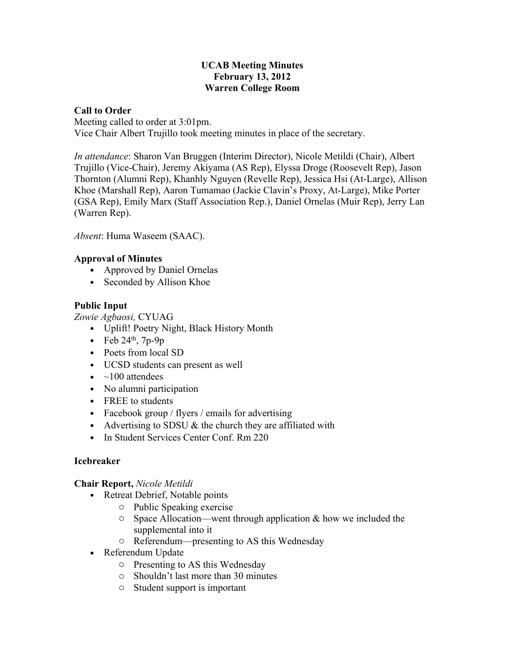### **UCAB Meeting Minutes February 13, 2012 Warren College Room**

# **Call to Order**

Meeting called to order at 3:01pm. Vice Chair Albert Trujillo took meeting minutes in place of the secretary.

*In attendance*: Sharon Van Bruggen (Interim Director), Nicole Metildi (Chair), Albert Trujillo (Vice-Chair), Jeremy Akiyama (AS Rep), Elyssa Droge (Roosevelt Rep), Jason Thornton (Alumni Rep), Khanhly Nguyen (Revelle Rep), Jessica Hsi (At-Large), Allison Khoe (Marshall Rep), Aaron Tumamao (Jackie Clavin's Proxy, At-Large), Mike Porter (GSA Rep), Emily Marx (Staff Association Rep.), Daniel Ornelas (Muir Rep), Jerry Lan (Warren Rep).

*Absent*: Huma Waseem (SAAC).

### **Approval of Minutes**

- Approved by Daniel Ornelas
- Seconded by Allison Khoe

# **Public Input**

*Zowie Agbaosi,* CYUAG

- Uplift! Poetry Night, Black History Month
- Feb  $24<sup>th</sup>$ , 7p-9p
- Poets from local SD
- UCSD students can present as well
- $\bullet$  ~100 attendees
- No alumni participation
- FREE to students
- Facebook group / flyers / emails for advertising
- Advertising to SDSU  $&$  the church they are affiliated with
- In Student Services Center Conf. Rm 220

# **Icebreaker**

**Chair Report,** *Nicole Metildi*

- Retreat Debrief, Notable points
	- o Public Speaking exercise
	- $\circ$  Space Allocation—went through application & how we included the supplemental into it
	- o Referendum—presenting to AS this Wednesday
- Referendum Update
	- o Presenting to AS this Wednesday
	- o Shouldn't last more than 30 minutes
	- o Student support is important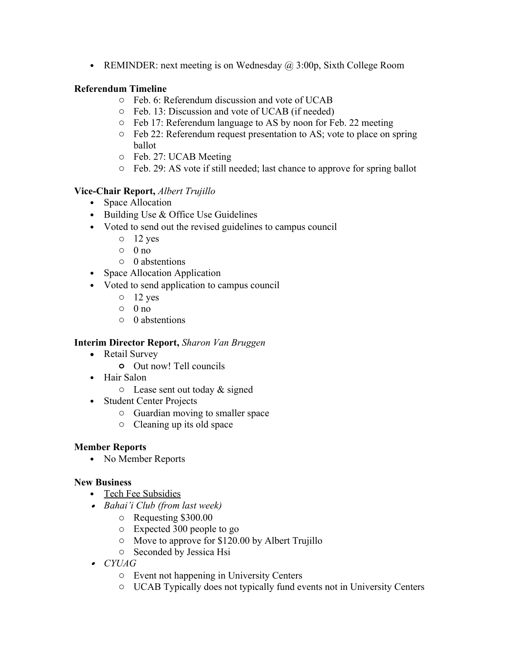• REMINDER: next meeting is on Wednesday  $\omega$  3:00p, Sixth College Room

# **Referendum Timeline**

- o Feb. 6: Referendum discussion and vote of UCAB
- o Feb. 13: Discussion and vote of UCAB (if needed)
- o Feb 17: Referendum language to AS by noon for Feb. 22 meeting
- o Feb 22: Referendum request presentation to AS; vote to place on spring ballot
- o Feb. 27: UCAB Meeting
- o Feb. 29: AS vote if still needed; last chance to approve for spring ballot

# **Vice-Chair Report,** *Albert Trujillo*

- Space Allocation
- Building Use & Office Use Guidelines
- Voted to send out the revised guidelines to campus council
	- $\circ$  12 yes
	- $\circ$  0 no
	- o 0 abstentions
- Space Allocation Application
- Voted to send application to campus council
	- $\circ$  12 yes
	- $\circ$  0 no
	- o 0 abstentions

# **Interim Director Report,** *Sharon Van Bruggen*

- Retail Survey
	- **o** Out now! Tell councils
- Hair Salon
	- $\circ$  Lease sent out today & signed
- Student Center Projects
	- o Guardian moving to smaller space
	- o Cleaning up its old space

# **Member Reports**

• No Member Reports

# **New Business**

- Tech Fee Subsidies
- *Bahai'i Club (from last week)*
	- o Requesting \$300.00
	- o Expected 300 people to go
	- o Move to approve for \$120.00 by Albert Trujillo
	- o Seconded by Jessica Hsi
- *CYUAG*
	- o Event not happening in University Centers
	- o UCAB Typically does not typically fund events not in University Centers